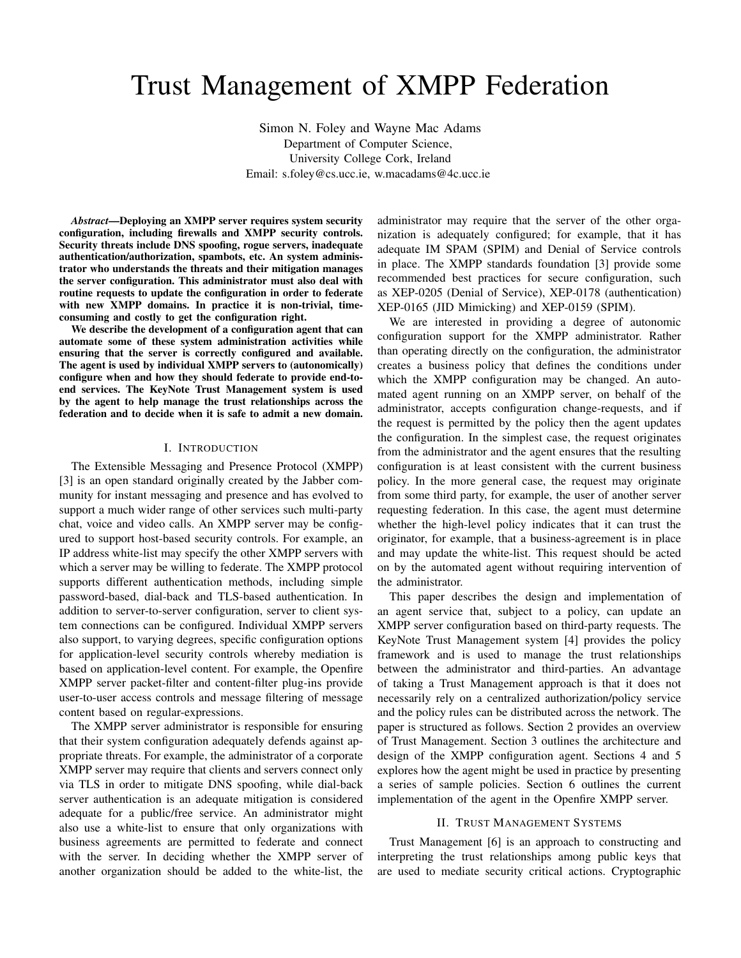# Trust Management of XMPP Federation

Simon N. Foley and Wayne Mac Adams Department of Computer Science, University College Cork, Ireland Email: s.foley@cs.ucc.ie, w.macadams@4c.ucc.ie

*Abstract*—Deploying an XMPP server requires system security configuration, including firewalls and XMPP security controls. Security threats include DNS spoofing, rogue servers, inadequate authentication/authorization, spambots, etc. An system administrator who understands the threats and their mitigation manages the server configuration. This administrator must also deal with routine requests to update the configuration in order to federate with new XMPP domains. In practice it is non-trivial, timeconsuming and costly to get the configuration right.

We describe the development of a configuration agent that can automate some of these system administration activities while ensuring that the server is correctly configured and available. The agent is used by individual XMPP servers to (autonomically) configure when and how they should federate to provide end-toend services. The KeyNote Trust Management system is used by the agent to help manage the trust relationships across the federation and to decide when it is safe to admit a new domain.

#### I. INTRODUCTION

The Extensible Messaging and Presence Protocol (XMPP) [3] is an open standard originally created by the Jabber community for instant messaging and presence and has evolved to support a much wider range of other services such multi-party chat, voice and video calls. An XMPP server may be configured to support host-based security controls. For example, an IP address white-list may specify the other XMPP servers with which a server may be willing to federate. The XMPP protocol supports different authentication methods, including simple password-based, dial-back and TLS-based authentication. In addition to server-to-server configuration, server to client system connections can be configured. Individual XMPP servers also support, to varying degrees, specific configuration options for application-level security controls whereby mediation is based on application-level content. For example, the Openfire XMPP server packet-filter and content-filter plug-ins provide user-to-user access controls and message filtering of message content based on regular-expressions.

The XMPP server administrator is responsible for ensuring that their system configuration adequately defends against appropriate threats. For example, the administrator of a corporate XMPP server may require that clients and servers connect only via TLS in order to mitigate DNS spoofing, while dial-back server authentication is an adequate mitigation is considered adequate for a public/free service. An administrator might also use a white-list to ensure that only organizations with business agreements are permitted to federate and connect with the server. In deciding whether the XMPP server of another organization should be added to the white-list, the

administrator may require that the server of the other organization is adequately configured; for example, that it has adequate IM SPAM (SPIM) and Denial of Service controls in place. The XMPP standards foundation [3] provide some recommended best practices for secure configuration, such as XEP-0205 (Denial of Service), XEP-0178 (authentication) XEP-0165 (JID Mimicking) and XEP-0159 (SPIM).

We are interested in providing a degree of autonomic configuration support for the XMPP administrator. Rather than operating directly on the configuration, the administrator creates a business policy that defines the conditions under which the XMPP configuration may be changed. An automated agent running on an XMPP server, on behalf of the administrator, accepts configuration change-requests, and if the request is permitted by the policy then the agent updates the configuration. In the simplest case, the request originates from the administrator and the agent ensures that the resulting configuration is at least consistent with the current business policy. In the more general case, the request may originate from some third party, for example, the user of another server requesting federation. In this case, the agent must determine whether the high-level policy indicates that it can trust the originator, for example, that a business-agreement is in place and may update the white-list. This request should be acted on by the automated agent without requiring intervention of the administrator.

This paper describes the design and implementation of an agent service that, subject to a policy, can update an XMPP server configuration based on third-party requests. The KeyNote Trust Management system [4] provides the policy framework and is used to manage the trust relationships between the administrator and third-parties. An advantage of taking a Trust Management approach is that it does not necessarily rely on a centralized authorization/policy service and the policy rules can be distributed across the network. The paper is structured as follows. Section 2 provides an overview of Trust Management. Section 3 outlines the architecture and design of the XMPP configuration agent. Sections 4 and 5 explores how the agent might be used in practice by presenting a series of sample policies. Section 6 outlines the current implementation of the agent in the Openfire XMPP server.

#### II. TRUST MANAGEMENT SYSTEMS

Trust Management [6] is an approach to constructing and interpreting the trust relationships among public keys that are used to mediate security critical actions. Cryptographic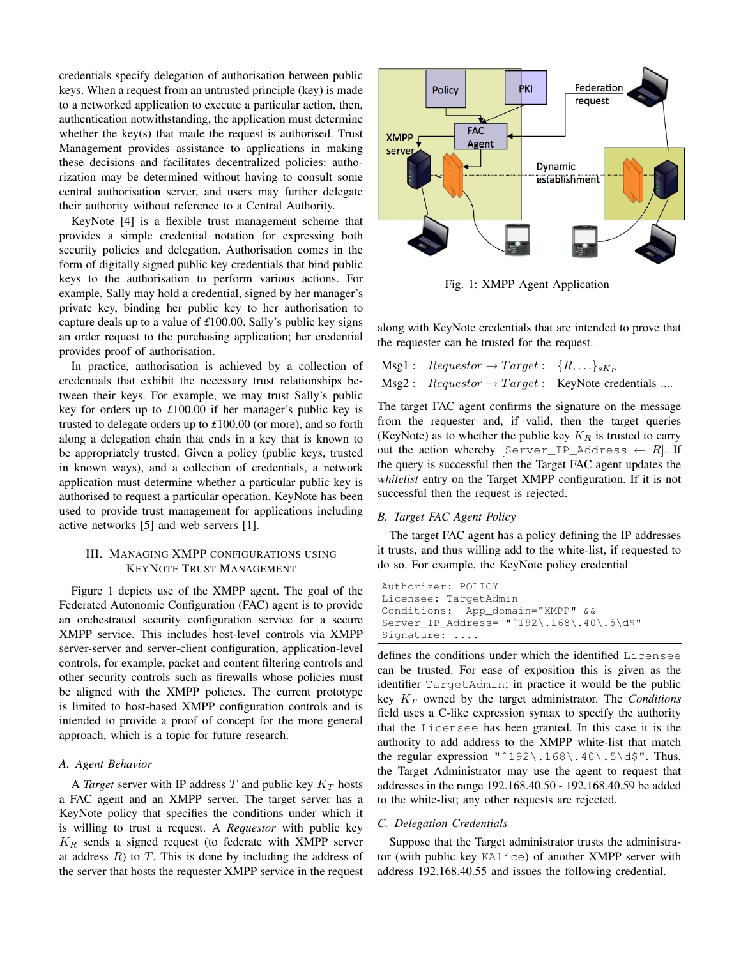credentials specify delegation of authorisation between public keys. When a request from an untrusted principle (key) is made to a networked application to execute a particular action, then, authentication notwithstanding, the application must determine whether the key(s) that made the request is authorised. Trust Management provides assistance to applications in making these decisions and facilitates decentralized policies: authorization may be determined without having to consult some central authorisation server, and users may further delegate their authority without reference to a Central Authority.

KeyNote [4] is a flexible trust management scheme that provides a simple credential notation for expressing both security policies and delegation. Authorisation comes in the form of digitally signed public key credentials that bind public keys to the authorisation to perform various actions. For example, Sally may hold a credential, signed by her manager's private key, binding her public key to her authorisation to capture deals up to a value of *£*100.00. Sally's public key signs an order request to the purchasing application; her credential provides proof of authorisation.

In practice, authorisation is achieved by a collection of credentials that exhibit the necessary trust relationships between their keys. For example, we may trust Sally's public key for orders up to *£*100.00 if her manager's public key is trusted to delegate orders up to *£*100.00 (or more), and so forth along a delegation chain that ends in a key that is known to be appropriately trusted. Given a policy (public keys, trusted in known ways), and a collection of credentials, a network application must determine whether a particular public key is authorised to request a particular operation. KeyNote has been used to provide trust management for applications including active networks [5] and web servers [1].

## III. MANAGING XMPP CONFIGURATIONS USING KEYNOTE TRUST MANAGEMENT

Figure 1 depicts use of the XMPP agent. The goal of the Federated Autonomic Configuration (FAC) agent is to provide an orchestrated security configuration service for a secure XMPP service. This includes host-level controls via XMPP server-server and server-client configuration, application-level controls, for example, packet and content filtering controls and other security controls such as firewalls whose policies must be aligned with the XMPP policies. The current prototype is limited to host-based XMPP configuration controls and is intended to provide a proof of concept for the more general approach, which is a topic for future research.

## *A. Agent Behavior*

A *Target* server with IP address  $T$  and public key  $K_T$  hosts a FAC agent and an XMPP server. The target server has a KeyNote policy that specifies the conditions under which it is willing to trust a request. A *Requestor* with public key  $K_R$  sends a signed request (to federate with XMPP server at address  $R$ ) to  $T$ . This is done by including the address of the server that hosts the requester XMPP service in the request



Fig. 1: XMPP Agent Application

along with KeyNote credentials that are intended to prove that the requester can be trusted for the request.

Msg1 :  $Requestor \rightarrow Target: \{R, \ldots\}_{sK_R}$  $Msg2: Reguestor \rightarrow Target: KeyNote credentials ...$ 

The target FAC agent confirms the signature on the message from the requester and, if valid, then the target queries (KeyNote) as to whether the public key  $K_R$  is trusted to carry out the action whereby  $\left[\text{Server\_IP\_Address} \leftarrow R\right]$ . If the query is successful then the Target FAC agent updates the *whitelist* entry on the Target XMPP configuration. If it is not successful then the request is rejected.

## *B. Target FAC Agent Policy*

The target FAC agent has a policy defining the IP addresses it trusts, and thus willing add to the white-list, if requested to do so. For example, the KeyNote policy credential

```
Authorizer: POLICY
Licensee: TargetAdmin
Conditions: App_domain="XMPP" &&
Server_IP_Address=˜"ˆ192\.168\.40\.5\d$"
Signature: ....
```
defines the conditions under which the identified Licensee can be trusted. For ease of exposition this is given as the identifier TargetAdmin; in practice it would be the public key  $K_T$  owned by the target administrator. The *Conditions* field uses a C-like expression syntax to specify the authority that the Licensee has been granted. In this case it is the authority to add address to the XMPP white-list that match the regular expression "^192\.168\.40\.5\d\$". Thus, the Target Administrator may use the agent to request that addresses in the range 192.168.40.50 - 192.168.40.59 be added to the white-list; any other requests are rejected.

## *C. Delegation Credentials*

Suppose that the Target administrator trusts the administrator (with public key KAlice) of another XMPP server with address 192.168.40.55 and issues the following credential.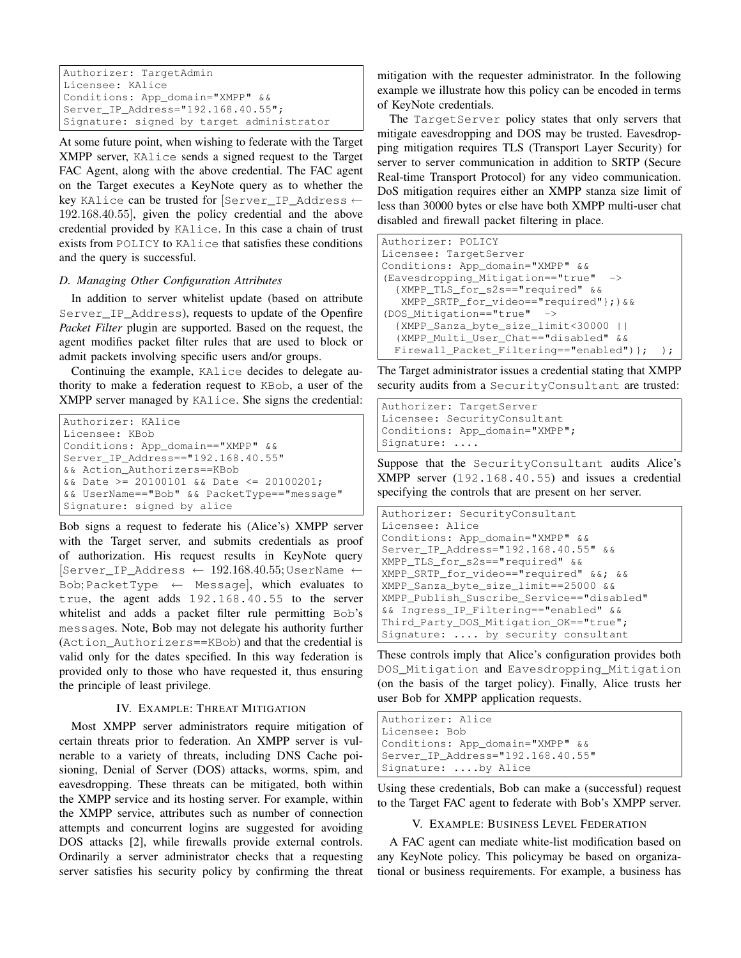```
Authorizer: TargetAdmin
Licensee: KAlice
Conditions: App_domain="XMPP" &&
Server IP Address="192.168.40.55";
Signature: signed by target administrator
```
At some future point, when wishing to federate with the Target XMPP server, KAlice sends a signed request to the Target FAC Agent, along with the above credential. The FAC agent on the Target executes a KeyNote query as to whether the key KAlice can be trusted for [Server\_IP\_Address ← 192.168.40.55], given the policy credential and the above credential provided by KAlice. In this case a chain of trust exists from POLICY to KAlice that satisfies these conditions and the query is successful.

## *D. Managing Other Configuration Attributes*

In addition to server whitelist update (based on attribute Server\_IP\_Address), requests to update of the Openfire *Packet Filter* plugin are supported. Based on the request, the agent modifies packet filter rules that are used to block or admit packets involving specific users and/or groups.

Continuing the example, KAlice decides to delegate authority to make a federation request to KBob, a user of the XMPP server managed by KAlice. She signs the credential:

```
Authorizer: KAlice
Licensee: KBob
Conditions: App_domain=="XMPP" &&
Server_IP_Address=="192.168.40.55"
&& Action_Authorizers==KBob
&& Date >= 20100101 && Date <= 20100201;
&& UserName=="Bob" && PacketType=="message"
Signature: signed by alice
```

```
Bob signs a request to federate his (Alice's) XMPP server
with the Target server, and submits credentials as proof
of authorization. His request results in KeyNote query
[Server_IP_Address \leftarrow 192.168.40.55; UserName \leftarrowBob; PacketType ← Message], which evaluates to
true, the agent adds 192.168.40.55 to the server
whitelist and adds a packet filter rule permitting Bob's
messages. Note, Bob may not delegate his authority further
(Action_Authorizers==KBob) and that the credential is
valid only for the dates specified. In this way federation is
provided only to those who have requested it, thus ensuring
the principle of least privilege.
```
## IV. EXAMPLE: THREAT MITIGATION

Most XMPP server administrators require mitigation of certain threats prior to federation. An XMPP server is vulnerable to a variety of threats, including DNS Cache poisioning, Denial of Server (DOS) attacks, worms, spim, and eavesdropping. These threats can be mitigated, both within the XMPP service and its hosting server. For example, within the XMPP service, attributes such as number of connection attempts and concurrent logins are suggested for avoiding DOS attacks [2], while firewalls provide external controls. Ordinarily a server administrator checks that a requesting server satisfies his security policy by confirming the threat

mitigation with the requester administrator. In the following example we illustrate how this policy can be encoded in terms of KeyNote credentials.

The TargetServer policy states that only servers that mitigate eavesdropping and DOS may be trusted. Eavesdropping mitigation requires TLS (Transport Layer Security) for server to server communication in addition to SRTP (Secure Real-time Transport Protocol) for any video communication. DoS mitigation requires either an XMPP stanza size limit of less than 30000 bytes or else have both XMPP multi-user chat disabled and firewall packet filtering in place.

```
Authorizer: POLICY
Licensee: TargetServer
Conditions: App_domain="XMPP" &&
(Eavesdropping_Mitigation=="true"
  {XMPP_TLS_for_s2s=="required" &&
   XMPP_SRTP_for_video=="required"};)&&
(DOS_Mitigation=="true" ->
  {XMPP_Sanza_byte_size_limit<30000 ||
  (XMPP_Multi_User_Chat=="disabled" &&
  Firewall_Packet_Filtering == "enabled") }; ) ;
```
The Target administrator issues a credential stating that XMPP security audits from a SecurityConsultant are trusted:

```
Authorizer: TargetServer
Licensee: SecurityConsultant
Conditions: App_domain="XMPP";
Signature: ....
```
Suppose that the SecurityConsultant audits Alice's XMPP server (192.168.40.55) and issues a credential specifying the controls that are present on her server.

```
Authorizer: SecurityConsultant
Licensee: Alice
Conditions: App_domain="XMPP" &&
Server_IP_Address="192.168.40.55" &&
XMPP_TLS_for_s2s=="required" &&
XMPP_SRTP_for_video=="required" &&; &&
XMPP_Sanza_byte_size_limit==25000 &&
XMPP_Publish_Suscribe_Service=="disabled"
&& Ingress_IP_Filtering=="enabled" &&
Third_Party_DOS_Mitigation_OK=="true";
Signature: .... by security consultant
```
These controls imply that Alice's configuration provides both DOS\_Mitigation and Eavesdropping\_Mitigation (on the basis of the target policy). Finally, Alice trusts her user Bob for XMPP application requests.

```
Authorizer: Alice
Licensee: Bob
Conditions: App_domain="XMPP" &&
Server_IP_Address="192.168.40.55"
Signature: ....by Alice
```
Using these credentials, Bob can make a (successful) request to the Target FAC agent to federate with Bob's XMPP server.

## V. EXAMPLE: BUSINESS LEVEL FEDERATION

A FAC agent can mediate white-list modification based on any KeyNote policy. This policymay be based on organizational or business requirements. For example, a business has